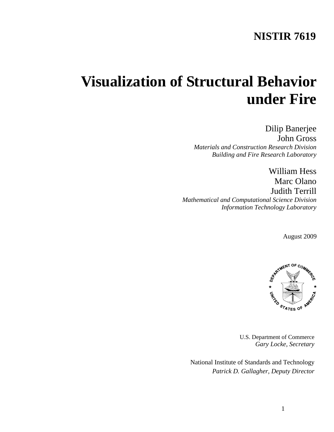# **NISTIR 7619**

# **Visualization of Structural Behavior under Fire**

Dilip Banerjee John Gross *Materials and Construction Research Division Building and Fire Research Laboratory* 

William Hess Marc Olano Judith Terrill *Mathematical and Computational Science Division Information Technology Laboratory*

August 2009



U.S. Department of Commerce *Gary Locke, Secretary* 

National Institute of Standards and Technology *Patrick D. Gallagher, Deputy Director*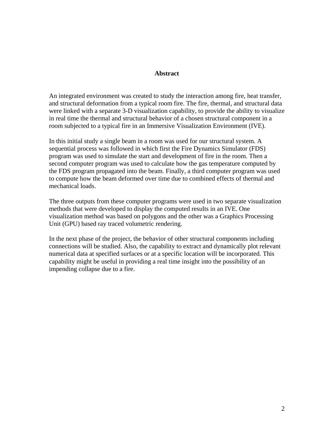#### **Abstract**

An integrated environment was created to study the interaction among fire, heat transfer, and structural deformation from a typical room fire. The fire, thermal, and structural data were linked with a separate 3-D visualization capability, to provide the ability to visualize in real time the thermal and structural behavior of a chosen structural component in a room subjected to a typical fire in an Immersive Visualization Environment (IVE).

In this initial study a single beam in a room was used for our structural system. A sequential process was followed in which first the Fire Dynamics Simulator (FDS) program was used to simulate the start and development of fire in the room. Then a second computer program was used to calculate how the gas temperature computed by the FDS program propagated into the beam. Finally, a third computer program was used to compute how the beam deformed over time due to combined effects of thermal and mechanical loads.

The three outputs from these computer programs were used in two separate visualization methods that were developed to display the computed results in an IVE. One visualization method was based on polygons and the other was a Graphics Processing Unit (GPU) based ray traced volumetric rendering.

In the next phase of the project, the behavior of other structural components including connections will be studied. Also, the capability to extract and dynamically plot relevant numerical data at specified surfaces or at a specific location will be incorporated. This capability might be useful in providing a real time insight into the possibility of an impending collapse due to a fire.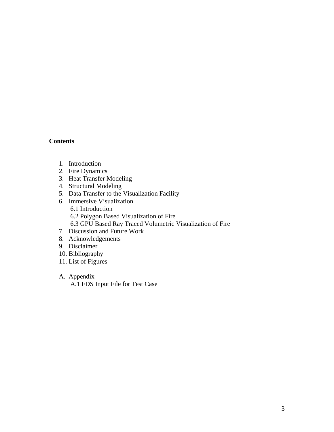#### **Contents**

- 1. Introduction
- 2. Fire Dynamics
- 3. Heat Transfer Modeling
- 4. Structural Modeling
- 5. Data Transfer to the Visualization Facility
- 6. Immersive Visualization 6.1 Introduction 6.2 Polygon Based Visualization of Fire 6.3 GPU Based Ray Traced Volumetric Visualization of Fire
- 7. Discussion and Future Work
- 8. Acknowledgements
- 9. Disclaimer
- 10. Bibliography
- 11. List of Figures
- A. Appendix A.1 FDS Input File for Test Case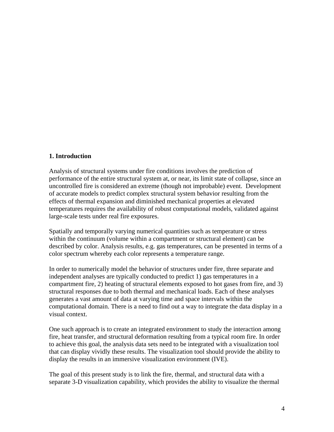#### **1. Introduction**

Analysis of structural systems under fire conditions involves the prediction of performance of the entire structural system at, or near, its limit state of collapse, since an uncontrolled fire is considered an extreme (though not improbable) event. Development of accurate models to predict complex structural system behavior resulting from the effects of thermal expansion and diminished mechanical properties at elevated temperatures requires the availability of robust computational models, validated against large-scale tests under real fire exposures.

Spatially and temporally varying numerical quantities such as temperature or stress within the continuum (volume within a compartment or structural element) can be described by color. Analysis results, e.g. gas temperatures, can be presented in terms of a color spectrum whereby each color represents a temperature range.

In order to numerically model the behavior of structures under fire, three separate and independent analyses are typically conducted to predict 1) gas temperatures in a compartment fire, 2) heating of structural elements exposed to hot gases from fire, and 3) structural responses due to both thermal and mechanical loads. Each of these analyses generates a vast amount of data at varying time and space intervals within the computational domain. There is a need to find out a way to integrate the data display in a visual context.

One such approach is to create an integrated environment to study the interaction among fire, heat transfer, and structural deformation resulting from a typical room fire. In order to achieve this goal, the analysis data sets need to be integrated with a visualization tool that can display vividly these results. The visualization tool should provide the ability to display the results in an immersive visualization environment (IVE).

The goal of this present study is to link the fire, thermal, and structural data with a separate 3-D visualization capability, which provides the ability to visualize the thermal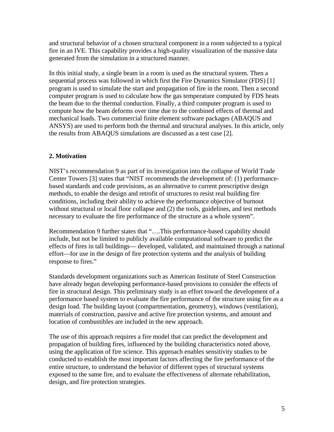and structural behavior of a chosen structural component in a room subjected to a typical fire in an IVE. This capability provides a high-quality visualization of the massive data generated from the simulation in a structured manner.

In this initial study, a single beam in a room is used as the structural system. Then a sequential process was followed in which first the Fire Dynamics Simulator (FDS) [1] program is used to simulate the start and propagation of fire in the room. Then a second computer program is used to calculate how the gas temperature computed by FDS heats the beam due to the thermal conduction. Finally, a third computer program is used to compute how the beam deforms over time due to the combined effects of thermal and mechanical loads. Two commercial finite element software packages (ABAQUS and ANSYS) are used to perform both the thermal and structural analyses. In this article, only the results from ABAQUS simulations are discussed as a test case [2].

# **2. Motivation**

NIST's recommendation 9 as part of its investigation into the collapse of World Trade Center Towers [3] states that "NIST recommends the development of: (1) performancebased standards and code provisions, as an alternative to current prescriptive design methods, to enable the design and retrofit of structures to resist real building fire conditions, including their ability to achieve the performance objective of burnout without structural or local floor collapse and (2) the tools, guidelines, and test methods necessary to evaluate the fire performance of the structure as a whole system".

Recommendation 9 further states that "….This performance-based capability should include, but not be limited to publicly available computational software to predict the effects of fires in tall buildings— developed, validated, and maintained through a national effort—for use in the design of fire protection systems and the analysis of building response to fires."

Standards development organizations such as American Institute of Steel Construction have already begun developing performance-based provisions to consider the effects of fire in structural design. This preliminary study is an effort toward the development of a performance based system to evaluate the fire performance of the structure using fire as a design load. The building layout (compartmentation, geometry), windows (ventilation), materials of construction, passive and active fire protection systems, and amount and location of combustibles are included in the new approach.

The use of this approach requires a fire model that can predict the development and propagation of building fires, influenced by the building characteristics noted above, using the application of fire science. This approach enables sensitivity studies to be conducted to establish the most important factors affecting the fire performance of the entire structure, to understand the behavior of different types of structural systems exposed to the same fire, and to evaluate the effectiveness of alternate rehabilitation, design, and fire protection strategies.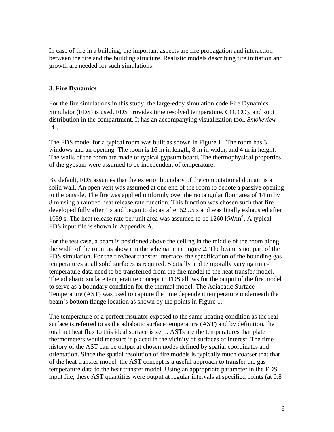In case of fire in a building, the important aspects are fire propagation and interaction between the fire and the building structure. Realistic models describing fire initiation and growth are needed for such simulations.

# **3. Fire Dynamics**

For the fire simulations in this study, the large-eddy simulation code Fire Dynamics Simulator (FDS) is used. FDS provides time resolved temperature,  $CO$ ,  $CO<sub>2</sub>$ , and soot distribution in the compartment. It has an accompanying visualization tool, *Smokeview*  [4].

The FDS model for a typical room was built as shown in Figure 1. The room has 3 windows and an opening. The room is 16 m in length, 8 m in width, and 4 m in height. The walls of the room are made of typical gypsum board. The thermophysical properties of the gypsum were assumed to be independent of temperature.

By default, FDS assumes that the exterior boundary of the computational domain is a solid wall. An open vent was assumed at one end of the room to denote a passive opening to the outside. The fire was applied uniformly over the rectangular floor area of 14 m by 8 m using a ramped heat release rate function. This function was chosen such that fire developed fully after 1 s and began to decay after 529.5 s and was finally exhausted after 1059 s. The heat release rate per unit area was assumed to be  $1260 \text{ kW/m}^2$ . A typical FDS input file is shown in Appendix A.

For the test case, a beam is positioned above the ceiling in the middle of the room along the width of the room as shown in the schematic in Figure 2. The beam is not part of the FDS simulation. For the fire/heat transfer interface, the specification of the bounding gas temperatures at all solid surfaces is required. Spatially and temporally varying timetemperature data need to be transferred from the fire model to the heat transfer model. The adiabatic surface temperature concept in FDS allows for the output of the fire model to serve as a boundary condition for the thermal model. The Adiabatic Surface Temperature (AST) was used to capture the time dependent temperature underneath the beam's bottom flange location as shown by the points in Figure 1.

The temperature of a perfect insulator exposed to the same heating condition as the real surface is referred to as the adiabatic surface temperature (AST) and by definition, the total net heat flux to this ideal surface is zero. ASTs are the temperatures that plate thermometers would measure if placed in the vicinity of surfaces of interest. The time history of the AST can be output at chosen nodes defined by spatial coordinates and orientation. Since the spatial resolution of fire models is typically much coarser that that of the heat transfer model, the AST concept is a useful approach to transfer the gas temperature data to the heat transfer model. Using an appropriate parameter in the FDS input file, these AST quantities were output at regular intervals at specified points (at 0.8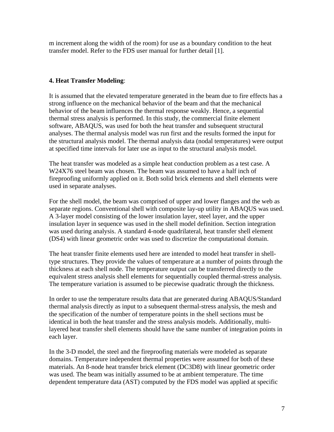m increment along the width of the room) for use as a boundary condition to the heat transfer model. Refer to the FDS user manual for further detail [1].

# **4. Heat Transfer Modeling**:

It is assumed that the elevated temperature generated in the beam due to fire effects has a strong influence on the mechanical behavior of the beam and that the mechanical behavior of the beam influences the thermal response weakly. Hence, a sequential thermal stress analysis is performed. In this study, the commercial finite element software, ABAQUS, was used for both the heat transfer and subsequent structural analyses. The thermal analysis model was run first and the results formed the input for the structural analysis model. The thermal analysis data (nodal temperatures) were output at specified time intervals for later use as input to the structural analysis model.

The heat transfer was modeled as a simple heat conduction problem as a test case. A W24X76 steel beam was chosen. The beam was assumed to have a half inch of fireproofing uniformly applied on it. Both solid brick elements and shell elements were used in separate analyses.

For the shell model, the beam was comprised of upper and lower flanges and the web as separate regions. Conventional shell with composite lay-up utility in ABAQUS was used. A 3-layer model consisting of the lower insulation layer, steel layer, and the upper insulation layer in sequence was used in the shell model definition. Section integration was used during analysis. A standard 4-node quadrilateral, heat transfer shell element (DS4) with linear geometric order was used to discretize the computational domain.

The heat transfer finite elements used here are intended to model heat transfer in shelltype structures. They provide the values of temperature at a number of points through the thickness at each shell node. The temperature output can be transferred directly to the equivalent stress analysis shell elements for sequentially coupled thermal-stress analysis. The temperature variation is assumed to be piecewise quadratic through the thickness.

In order to use the temperature results data that are generated during ABAQUS/Standard thermal analysis directly as input to a subsequent thermal-stress analysis, the mesh and the specification of the number of temperature points in the shell sections must be identical in both the heat transfer and the stress analysis models. Additionally, multilayered heat transfer shell elements should have the same number of integration points in each layer.

In the 3-D model, the steel and the fireproofing materials were modeled as separate domains. Temperature independent thermal properties were assumed for both of these materials. An 8-node heat transfer brick element (DC3D8) with linear geometric order was used. The beam was initially assumed to be at ambient temperature. The time dependent temperature data (AST) computed by the FDS model was applied at specific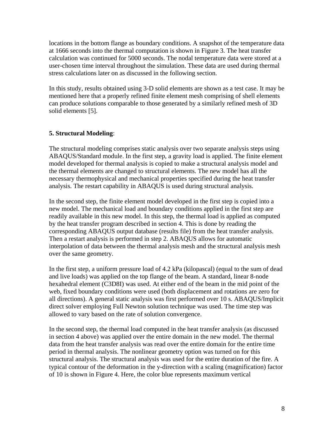locations in the bottom flange as boundary conditions. A snapshot of the temperature data at 1666 seconds into the thermal computation is shown in Figure 3. The heat transfer calculation was continued for 5000 seconds. The nodal temperature data were stored at a user-chosen time interval throughout the simulation. These data are used during thermal stress calculations later on as discussed in the following section.

In this study, results obtained using 3-D solid elements are shown as a test case. It may be mentioned here that a properly refined finite element mesh comprising of shell elements can produce solutions comparable to those generated by a similarly refined mesh of 3D solid elements [5].

#### **5. Structural Modeling**:

The structural modeling comprises static analysis over two separate analysis steps using ABAQUS/Standard module. In the first step, a gravity load is applied. The finite element model developed for thermal analysis is copied to make a structural analysis model and the thermal elements are changed to structural elements. The new model has all the necessary thermophysical and mechanical properties specified during the heat transfer analysis. The restart capability in ABAQUS is used during structural analysis.

In the second step, the finite element model developed in the first step is copied into a new model. The mechanical load and boundary conditions applied in the first step are readily available in this new model. In this step, the thermal load is applied as computed by the heat transfer program described in section 4. This is done by reading the corresponding ABAQUS output database (results file) from the heat transfer analysis. Then a restart analysis is performed in step 2. ABAQUS allows for automatic interpolation of data between the thermal analysis mesh and the structural analysis mesh over the same geometry.

In the first step, a uniform pressure load of 4.2 kPa (kilopascal) (equal to the sum of dead and live loads) was applied on the top flange of the beam. A standard, linear 8-node hexahedral element (C3D8I) was used. At either end of the beam in the mid point of the web, fixed boundary conditions were used (both displacement and rotations are zero for all directions). A general static analysis was first performed over 10 s. ABAQUS/Implicit direct solver employing Full Newton solution technique was used. The time step was allowed to vary based on the rate of solution convergence.

In the second step, the thermal load computed in the heat transfer analysis (as discussed in section 4 above) was applied over the entire domain in the new model. The thermal data from the heat transfer analysis was read over the entire domain for the entire time period in thermal analysis. The nonlinear geometry option was turned on for this structural analysis. The structural analysis was used for the entire duration of the fire. A typical contour of the deformation in the y-direction with a scaling (magnification) factor of 10 is shown in Figure 4. Here, the color blue represents maximum vertical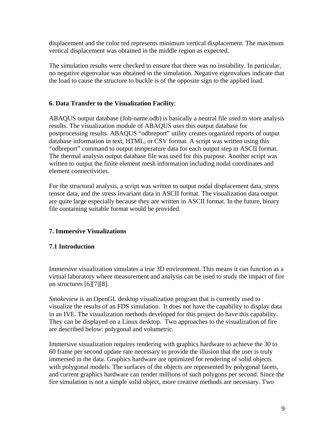displacement and the color red represents minimum vertical displacement. The maximum vertical displacement was obtained in the middle region as expected.

The simulation results were checked to ensure that there was no instability. In particular, no negative eigenvalue was obtained in the simulation. Negative eigenvalues indicate that the load to cause the structure to buckle is of the opposite sign to the applied load.

# **6. Data Transfer to the Visualization Facility**:

ABAQUS output database (Job-name.odb) is basically a neutral file used to store analysis results. The visualization module of ABAQUS uses this output database for postprocessing results. ABAQUS "odbreport" utility creates organized reports of output database information in text, HTML, or CSV format. A script was written using this "odbreport" command to output temperature data for each output step in ASCII format. The thermal analysis output database file was used for this purpose. Another script was written to output the finite element mesh information including nodal coordinates and element connectivities.

For the structural analysis, a script was written to output nodal displacement data, stress tensor data, and the stress invariant data in ASCII format. The visualization data output are quite large especially because they are written in ASCII format. In the future, binary file containing suitable format would be provided.

# **7. Immersive Visualizations**

# **7.1 Introduction**

Immersive visualization simulates a true 3D environment. This means it can function as a virtual laboratory where measurement and analysis can be used to study the impact of fire on structures [6][7][8].

*Smokeview* is an OpenGL desktop visualization program that is currently used to visualize the results of an FDS simulation. It does not have the capability to display data in an IVE. The visualization methods developed for this project do have this capability. They can be displayed on a Linux desktop. Two approaches to the visualization of fire are described below: polygonal and volumetric.

Immersive visualization requires rendering with graphics hardware to achieve the 30 to 60 frame per second update rate necessary to provide the illusion that the user is truly immersed in the data. Graphics hardware are optimized for rendering of solid objects with polygonal models. The surfaces of the objects are represented by polygonal facets, and current graphics hardware can render millions of such polygons per second. Since the fire simulation is not a simple solid object, more creative methods are necessary. Two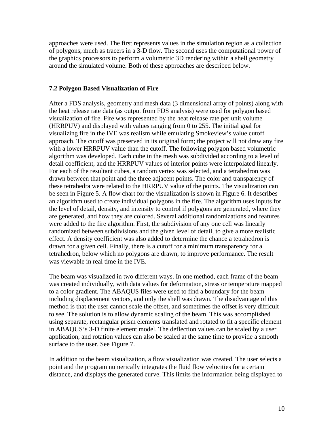approaches were used. The first represents values in the simulation region as a collection of polygons, much as tracers in a 3-D flow. The second uses the computational power of the graphics processors to perform a volumetric 3D rendering within a shell geometry around the simulated volume. Both of these approaches are described below.

#### **7.2 Polygon Based Visualization of Fire**

After a FDS analysis, geometry and mesh data (3 dimensional array of points) along with the heat release rate data (as output from FDS analysis) were used for polygon based visualization of fire. Fire was represented by the heat release rate per unit volume (HRRPUV) and displayed with values ranging from 0 to 255. The initial goal for visualizing fire in the IVE was realism while emulating Smokeview's value cutoff approach. The cutoff was preserved in its original form; the project will not draw any fire with a lower HRRPUV value than the cutoff. The following polygon based volumetric algorithm was developed. Each cube in the mesh was subdivided according to a level of detail coefficient, and the HRRPUV values of interior points were interpolated linearly. For each of the resultant cubes, a random vertex was selected, and a tetrahedron was drawn between that point and the three adjacent points. The color and transparency of these tetrahedra were related to the HRRPUV value of the points. The visualization can be seen in Figure 5. A flow chart for the visualization is shown in Figure 6. It describes an algorithm used to create individual polygons in the fire. The algorithm uses inputs for the level of detail, density, and intensity to control if polygons are generated, where they are generated, and how they are colored. Several additional randomizations and features were added to the fire algorithm. First, the subdivision of any one cell was linearly randomized between subdivisions and the given level of detail, to give a more realistic effect. A density coefficient was also added to determine the chance a tetrahedron is drawn for a given cell. Finally, there is a cutoff for a minimum transparency for a tetrahedron, below which no polygons are drawn, to improve performance. The result was viewable in real time in the IVE.

The beam was visualized in two different ways. In one method, each frame of the beam was created individually, with data values for deformation, stress or temperature mapped to a color gradient. The ABAQUS files were used to find a boundary for the beam including displacement vectors, and only the shell was drawn. The disadvantage of this method is that the user cannot scale the offset, and sometimes the offset is very difficult to see. The solution is to allow dynamic scaling of the beam. This was accomplished using separate, rectangular prism elements translated and rotated to fit a specific element in ABAQUS's 3-D finite element model. The deflection values can be scaled by a user application, and rotation values can also be scaled at the same time to provide a smooth surface to the user. See Figure 7.

In addition to the beam visualization, a flow visualization was created. The user selects a point and the program numerically integrates the fluid flow velocities for a certain distance, and displays the generated curve. This limits the information being displayed to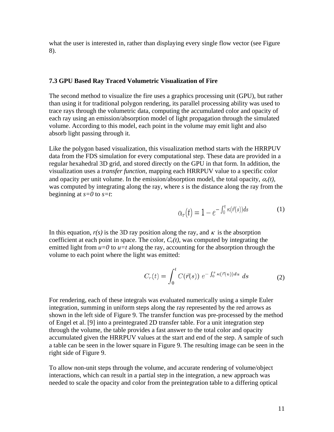what the user is interested in, rather than displaying every single flow vector (see Figure 8).

#### **7.3 GPU Based Ray Traced Volumetric Visualization of Fire**

The second method to visualize the fire uses a graphics processing unit (GPU), but rather than using it for traditional polygon rendering, its parallel processing ability was used to trace rays through the volumetric data, computing the accumulated color and opacity of each ray using an emission/absorption model of light propagation through the simulated volume. According to this model, each point in the volume may emit light and also absorb light passing through it.

Like the polygon based visualization, this visualization method starts with the HRRPUV data from the FDS simulation for every computational step. These data are provided in a regular hexahedral 3D grid, and stored directly on the GPU in that form. In addition, the visualization uses a *transfer function*, mapping each HRRPUV value to a specific color and opacity per unit volume. In the emission/absorption model, the total opacity,  $\alpha_r(t)$ , was computed by integrating along the ray, where *s* is the distance along the ray from the beginning at *s=0* to *s=t*:

$$
\alpha_r(t) = 1 - e^{-\int_0^t \kappa(\vec{r}(s))ds} \tag{1}
$$

In this equation,  $r(s)$  is the 3D ray position along the ray, and  $\kappa$  is the absorption coefficient at each point in space. The color,  $C_r(t)$ , was computed by integrating the emitted light from  $u=0$  to  $u=t$  along the ray, accounting for the absorption through the volume to each point where the light was emitted:

$$
C_r(t) = \int_0^t C(\vec{r}(s)) e^{-\int_0^s \kappa(\vec{r}(u))du} ds
$$
 (2)

For rendering, each of these integrals was evaluated numerically using a simple Euler integration, summing in uniform steps along the ray represented by the red arrows as shown in the left side of Figure 9. The transfer function was pre-processed by the method of Engel et al. [9] into a preintegrated 2D transfer table. For a unit integration step through the volume, the table provides a fast answer to the total color and opacity accumulated given the HRRPUV values at the start and end of the step. A sample of such a table can be seen in the lower square in Figure 9. The resulting image can be seen in the right side of Figure 9.

To allow non-unit steps through the volume, and accurate rendering of volume/object interactions, which can result in a partial step in the integration, a new approach was needed to scale the opacity and color from the preintegration table to a differing optical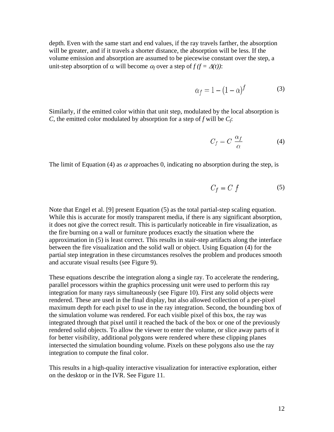depth. Even with the same start and end values, if the ray travels farther, the absorption will be greater, and if it travels a shorter distance, the absorption will be less. If the volume emission and absorption are assumed to be piecewise constant over the step, a unit-step absorption of  $\alpha$  will become  $\alpha_f$  over a step of  $f(f = \Delta(t))$ :

$$
\alpha_f = 1 - (1 - \alpha)^f \tag{3}
$$

Similarly, if the emitted color within that unit step, modulated by the local absorption is *C*, the emitted color modulated by absorption for a step of *f* will be *Cf*:

$$
C_f = C \frac{\alpha_f}{\alpha} \tag{4}
$$

The limit of Equation (4) as  $\alpha$  approaches 0, indicating no absorption during the step, is

$$
C_f = C f \tag{5}
$$

Note that Engel et al. [9] present Equation (5) as the total partial-step scaling equation. While this is accurate for mostly transparent media, if there is any significant absorption, it does not give the correct result. This is particularly noticeable in fire visualization, as the fire burning on a wall or furniture produces exactly the situation where the approximation in (5) is least correct. This results in stair-step artifacts along the interface between the fire visualization and the solid wall or object. Using Equation (4) for the partial step integration in these circumstances resolves the problem and produces smooth and accurate visual results (see Figure 9).

These equations describe the integration along a single ray. To accelerate the rendering, parallel processors within the graphics processing unit were used to perform this ray integration for many rays simultaneously (see Figure 10). First any solid objects were rendered. These are used in the final display, but also allowed collection of a per-pixel maximum depth for each pixel to use in the ray integration. Second, the bounding box of the simulation volume was rendered. For each visible pixel of this box, the ray was integrated through that pixel until it reached the back of the box or one of the previously rendered solid objects. To allow the viewer to enter the volume, or slice away parts of it for better visibility, additional polygons were rendered where these clipping planes intersected the simulation bounding volume. Pixels on these polygons also use the ray integration to compute the final color.

This results in a high-quality interactive visualization for interactive exploration, either on the desktop or in the IVR. See Figure 11.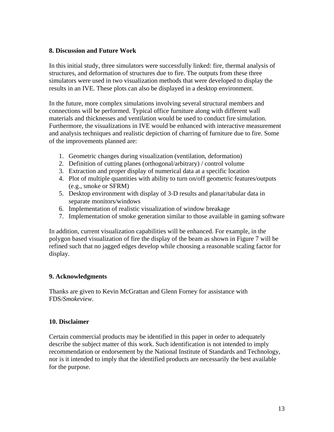#### **8. Discussion and Future Work**

In this initial study, three simulators were successfully linked: fire, thermal analysis of structures, and deformation of structures due to fire. The outputs from these three simulators were used in two visualization methods that were developed to display the results in an IVE. These plots can also be displayed in a desktop environment.

In the future, more complex simulations involving several structural members and connections will be performed. Typical office furniture along with different wall materials and thicknesses and ventilation would be used to conduct fire simulation. Furthermore, the visualizations in IVE would be enhanced with interactive measurement and analysis techniques and realistic depiction of charring of furniture due to fire. Some of the improvements planned are:

- 1. Geometric changes during visualization (ventilation, deformation)
- 2. Definition of cutting planes (orthogonal/arbitrary) / control volume
- 3. Extraction and proper display of numerical data at a specific location
- 4. Plot of multiple quantities with ability to turn on/off geometric features/outputs (e.g., smoke or SFRM)
- 5. Desktop environment with display of 3-D results and planar/tabular data in separate monitors/windows
- 6. Implementation of realistic visualization of window breakage
- 7. Implementation of smoke generation similar to those available in gaming software

In addition, current visualization capabilities will be enhanced. For example, in the polygon based visualization of fire the display of the beam as shown in Figure 7 will be refined such that no jagged edges develop while choosing a reasonable scaling factor for display.

# **9. Acknowledgments**

Thanks are given to Kevin McGrattan and Glenn Forney for assistance with FDS/*Smokeview*.

#### **10. Disclaimer**

Certain commercial products may be identified in this paper in order to adequately describe the subject matter of this work. Such identification is not intended to imply recommendation or endorsement by the National Institute of Standards and Technology, nor is it intended to imply that the identified products are necessarily the best available for the purpose.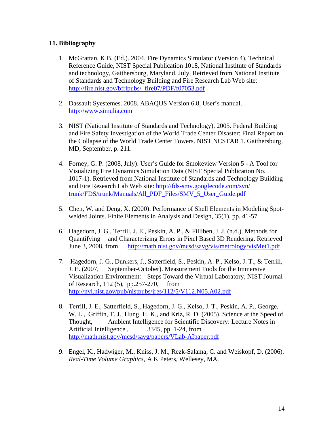# **11. Bibliography**

- 1. McGrattan, K.B. (Ed.). 2004. Fire Dynamics Simulator (Version 4), Technical Reference Guide, NIST Special Publication 1018, National Institute of Standards and technology, Gaithersburg, Maryland, July, Retrieved from National Institute of Standards and Technology Building and Fire Research Lab Web site: http://fire.nist.gov/bfrlpubs/ fire07/PDF/f07053.pdf
- 2. Dassault Syestemes. 2008. ABAQUS Version 6.8, User's manual. http://www.simulia.com
- 3. NIST (National Institute of Standards and Technology). 2005. Federal Building and Fire Safety Investigation of the World Trade Center Disaster: Final Report on the Collapse of the World Trade Center Towers. NIST NCSTAR 1. Gaithersburg, MD, September, p. 211.
- 4. Forney, G. P. (2008, July). User's Guide for Smokeview Version 5 A Tool for Visualizing Fire Dynamics Simulation Data (NIST Special Publication No. 1017-1). Retrieved from National Institute of Standards and Technology Building and Fire Research Lab Web site: http://fds-smv.googlecode.com/svn/ trunk/FDS/trunk/Manuals/All\_PDF\_Files/SMV\_5\_User\_Guide.pdf
- 5. Chen, W. and Deng, X. (2000). Performance of Shell Elements in Modeling Spotwelded Joints. Finite Elements in Analysis and Design, 35(1), pp. 41-57.
- 6. Hagedorn, J. G., Terrill, J. E., Peskin, A. P., & Filliben, J. J. (n.d.). Methods for Quantifying and Characterizing Errors in Pixel Based 3D Rendering. Retrieved June 3, 2008, from http://math.nist.gov/mcsd/savg/vis/metrology/visMet1.pdf
- 7. Hagedorn, J. G., Dunkers, J., Satterfield, S., Peskin, A. P., Kelso, J. T., & Terrill, J. E. (2007, September-October). Measurement Tools for the Immersive Visualization Environment: Steps Toward the Virtual Laboratory, NIST Journal of Research, 112 (5), pp.257-270, from http://nvl.nist.gov/pub/nistpubs/jres/112/5/V112.N05.A02.pdf
- 8. Terrill, J. E., Satterfield, S., Hagedorn, J. G., Kelso, J. T., Peskin, A. P., George, W. L., Griffin, T. J., Hung, H. K., and Kriz, R. D. (2005). Science at the Speed of Thought, Ambient Intelligence for Scientific Discovery: Lecture Notes in Artificial Intelligence , 3345, pp. 1-24, from http://math.nist.gov/mcsd/savg/papers/VLab-AIpaper.pdf
- 9. Engel, K., Hadwiger, M., Kniss, J. M., Rezk-Salama, C. and Weiskopf, D. (2006). *Real-Time Volume Graphics*, A K Peters, Wellesey, MA.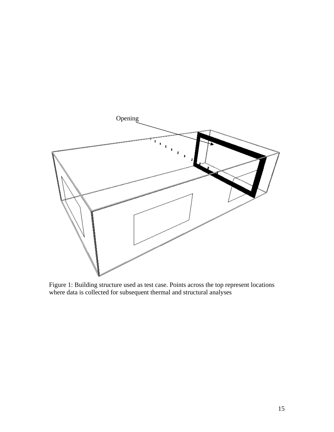

Figure 1: Building structure used as test case. Points across the top represent locations where data is collected for subsequent thermal and structural analyses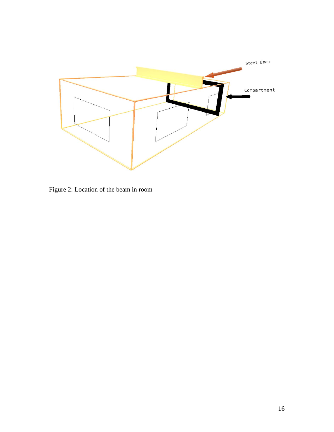

Figure 2: Location of the beam in room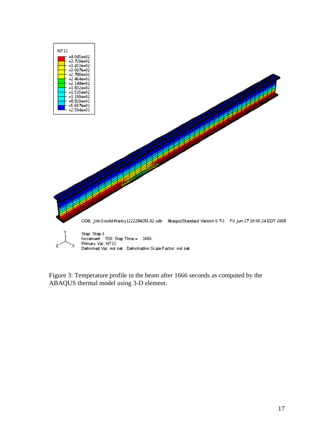

Figure 3: Temperature profile in the beam after 1666 seconds as computed by the ABAQUS thermal model using 3-D element.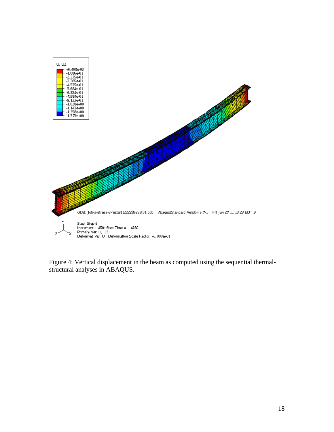

Figure 4: Vertical displacement in the beam as computed using the sequential thermalstructural analyses in ABAQUS.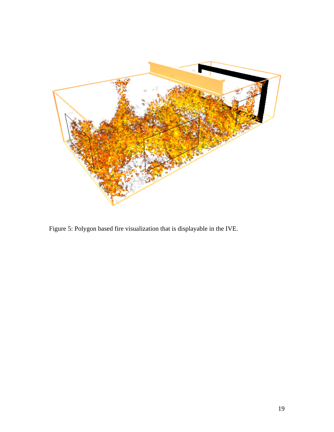

Figure 5: Polygon based fire visualization that is displayable in the IVE.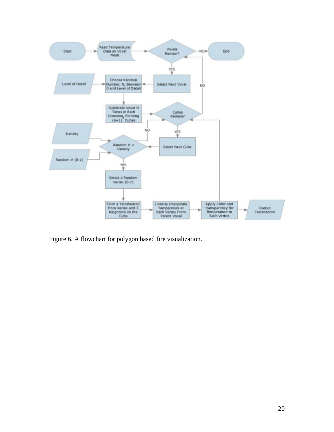

Figure 6. A flowchart for polygon based fire visualization.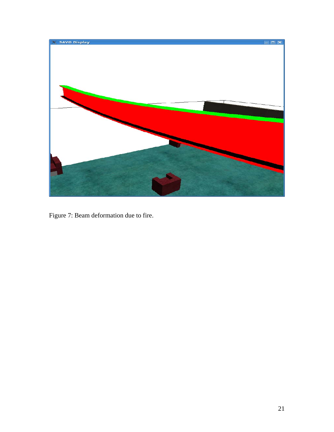

Figure 7: Beam deformation due to fire.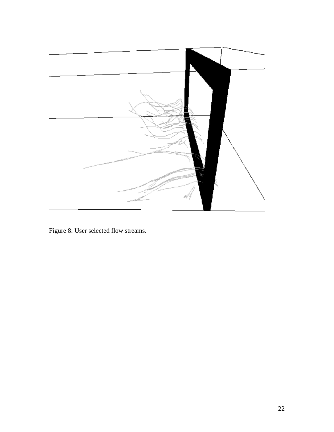

Figure 8: User selected flow streams.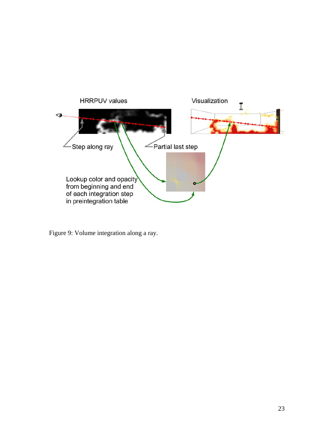

Figure 9: Volume integration along a ray.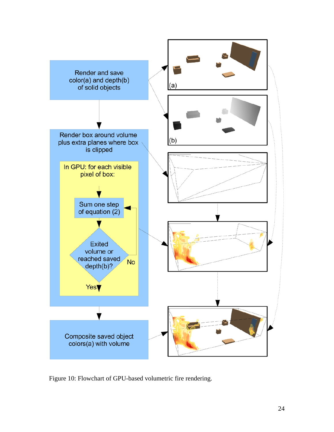

Figure 10: Flowchart of GPU-based volumetric fire rendering.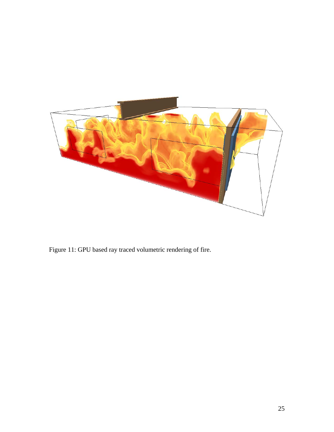

Figure 11: GPU based ray traced volumetric rendering of fire.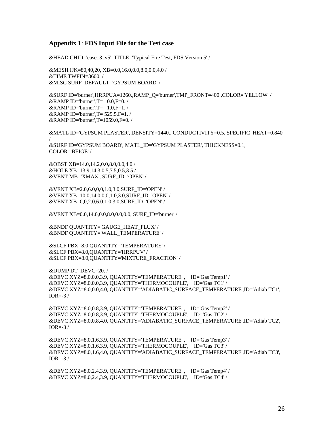#### **Appendix 1**: **FDS Input File for the Test case**

&HEAD CHID='case\_3\_v5', TITLE='Typical Fire Test, FDS Version 5' /

&MESH IJK=80,40,20, XB=0.0,16.0,0.0,8.0,0.0,4.0 / &TIME TWFIN=3600. / &MISC SURF\_DEFAULT='GYPSUM BOARD' /

&SURF ID='burner',HRRPUA=1260.,RAMP\_Q='burner',TMP\_FRONT=400.,COLOR='YELLOW' /  $\&$ RAMP ID='burner',T= 0.0,F=0. /  $\&$ RAMP ID='burner',T= 1.0,F=1./  $\&$ RAMP ID='burner', T= 529.5, F=1. / &RAMP ID='burner',T=1059.0,F=0. /

&MATL ID='GYPSUM PLASTER', DENSITY=1440., CONDUCTIVITY=0.5, SPECIFIC\_HEAT=0.840 / &SURF ID='GYPSUM BOARD', MATL\_ID='GYPSUM PLASTER', THICKNESS=0.1, COLOR='BEIGE' /

&OBST XB=14.0,14.2,0.0,8.0,0.0,4.0 / &HOLE XB=13.9,14.3,0.5,7.5,0.5,3.5 / &VENT MB='XMAX', SURF\_ID='OPEN' /

&VENT XB=2.0,6.0,0,0,1.0,3.0,SURF\_ID='OPEN' / &VENT XB=10.0,14.0,0,0,1.0,3.0,SURF\_ID='OPEN' / &VENT XB=0,0,2.0,6.0,1.0,3.0,SURF\_ID='OPEN' /

&VENT XB=0.0,14.0,0.0,8.0,0.0,0.0, SURF\_ID='burner' /

&BNDF QUANTITY='GAUGE\_HEAT\_FLUX' / &BNDF QUANTITY='WALL\_TEMPERATURE' /

&SLCF PBX=8.0,QUANTITY='TEMPERATURE' / &SLCF PBX=8.0,QUANTITY='HRRPUV' / &SLCF PBX=8.0,QUANTITY='MIXTURE\_FRACTION' /

&DUMP DT\_DEVC=20. / &DEVC XYZ=8.0,0.0,3.9, QUANTITY='TEMPERATURE' , ID='Gas Temp1' / &DEVC XYZ=8.0,0.0,3.9, QUANTITY='THERMOCOUPLE', ID='Gas TC1' / &DEVC XYZ=8.0,0.0,4.0, QUANTITY='ADIABATIC\_SURFACE\_TEMPERATURE',ID='Adiab TC1', IOR= $-3/$ 

&DEVC XYZ=8.0,0.8,3.9, QUANTITY='TEMPERATURE' , ID='Gas Temp2' / &DEVC XYZ=8.0,0.8,3.9, QUANTITY='THERMOCOUPLE', ID='Gas TC2' / &DEVC XYZ=8.0,0.8,4.0, QUANTITY='ADIABATIC\_SURFACE\_TEMPERATURE',ID='Adiab TC2',  $IOR=.3/$ 

&DEVC XYZ=8.0,1.6,3.9, QUANTITY='TEMPERATURE' , ID='Gas Temp3' / &DEVC XYZ=8.0,1.6,3.9, QUANTITY='THERMOCOUPLE', ID='Gas TC3' / &DEVC XYZ=8.0,1.6,4.0, QUANTITY='ADIABATIC\_SURFACE\_TEMPERATURE',ID='Adiab TC3', IOR= $-3/$ 

&DEVC XYZ=8.0,2.4,3.9, QUANTITY='TEMPERATURE' , ID='Gas Temp4' / &DEVC XYZ=8.0,2.4,3.9, QUANTITY='THERMOCOUPLE', ID='Gas TC4' /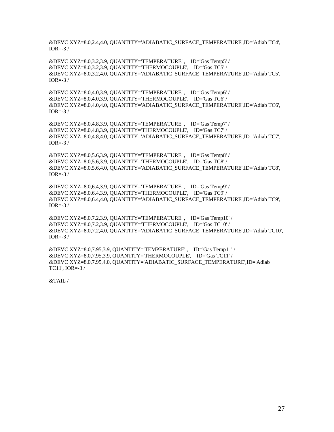&DEVC XYZ=8.0,2.4,4.0, QUANTITY='ADIABATIC\_SURFACE\_TEMPERATURE',ID='Adiab TC4', IOR= $-3/$ 

&DEVC XYZ=8.0,3.2,3.9, QUANTITY='TEMPERATURE' , ID='Gas Temp5' / &DEVC XYZ=8.0,3.2,3.9, QUANTITY='THERMOCOUPLE', ID='Gas TC5' / &DEVC XYZ=8.0,3.2,4.0, QUANTITY='ADIABATIC\_SURFACE\_TEMPERATURE',ID='Adiab TC5', IOR= $-3/$ 

&DEVC XYZ=8.0,4.0,3.9, QUANTITY='TEMPERATURE' , ID='Gas Temp6' / &DEVC XYZ=8.0,4.0,3.9, QUANTITY='THERMOCOUPLE', ID='Gas TC6' / &DEVC XYZ=8.0,4.0,4.0, QUANTITY='ADIABATIC\_SURFACE\_TEMPERATURE',ID='Adiab TC6', IOR= $-3/$ 

&DEVC XYZ=8.0,4.8,3.9, QUANTITY='TEMPERATURE' , ID='Gas Temp7' / &DEVC XYZ=8.0,4.8,3.9, QUANTITY='THERMOCOUPLE', ID='Gas TC7' / &DEVC XYZ=8.0,4.8,4.0, QUANTITY='ADIABATIC\_SURFACE\_TEMPERATURE',ID='Adiab TC7', IOR= $-3/$ 

&DEVC XYZ=8.0,5.6,3.9, QUANTITY='TEMPERATURE' , ID='Gas Temp8' / &DEVC XYZ=8.0,5.6,3.9, QUANTITY='THERMOCOUPLE', ID='Gas TC8' / &DEVC XYZ=8.0,5.6,4.0, QUANTITY='ADIABATIC\_SURFACE\_TEMPERATURE',ID='Adiab TC8', IOR= $-3/$ 

&DEVC XYZ=8.0,6.4,3.9, QUANTITY='TEMPERATURE' , ID='Gas Temp9' / &DEVC XYZ=8.0,6.4,3.9, QUANTITY='THERMOCOUPLE', ID='Gas TC9' / &DEVC XYZ=8.0,6.4,4.0, QUANTITY='ADIABATIC\_SURFACE\_TEMPERATURE',ID='Adiab TC9', IOR= $-3/$ 

&DEVC XYZ=8.0,7.2,3.9, QUANTITY='TEMPERATURE' , ID='Gas Temp10' / &DEVC XYZ=8.0,7.2,3.9, QUANTITY='THERMOCOUPLE', ID='Gas TC10' / &DEVC XYZ=8.0,7.2,4.0, QUANTITY='ADIABATIC\_SURFACE\_TEMPERATURE',ID='Adiab TC10', IOR= $-3/$ 

&DEVC XYZ=8.0,7.95,3.9, QUANTITY='TEMPERATURE' , ID='Gas Temp11' / &DEVC XYZ=8.0,7.95,3.9, QUANTITY='THERMOCOUPLE', ID='Gas TC11' / &DEVC XYZ=8.0,7.95,4.0, QUANTITY='ADIABATIC\_SURFACE\_TEMPERATURE',ID='Adiab TC11', IOR=-3 /

&TAIL /